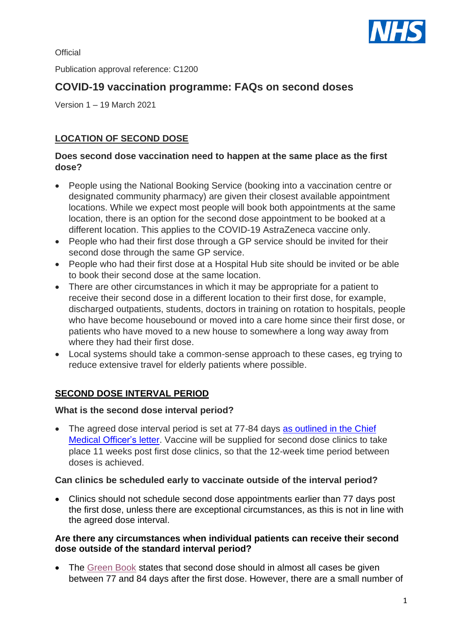**Official** 

Publication approval reference: C1200

# **COVID-19 vaccination programme: FAQs on second doses**

Version 1 – 19 March 2021

## **LOCATION OF SECOND DOSE**

#### **Does second dose vaccination need to happen at the same place as the first dose?**

- People using the National Booking Service (booking into a vaccination centre or designated community pharmacy) are given their closest available appointment locations. While we expect most people will book both appointments at the same location, there is an option for the second dose appointment to be booked at a different location. This applies to the COVID-19 AstraZeneca vaccine only.
- People who had their first dose through a GP service should be invited for their second dose through the same GP service.
- People who had their first dose at a Hospital Hub site should be invited or be able to book their second dose at the same location.
- There are other circumstances in which it may be appropriate for a patient to receive their second dose in a different location to their first dose, for example, discharged outpatients, students, doctors in training on rotation to hospitals, people who have become housebound or moved into a care home since their first dose, or patients who have moved to a new house to somewhere a long way away from where they had their first dose.
- Local systems should take a common-sense approach to these cases, eg trying to reduce extensive travel for elderly patients where possible.

# **SECOND DOSE INTERVAL PERIOD**

#### **What is the second dose interval period?**

• The agreed dose interval period is set at 77-84 days as outlined in the Chief [Medical Officer's](https://www.gov.uk/government/news/statement-from-the-uk-chief-medical-officers-on-the-prioritisation-of-first-doses-of-covid-19-vaccines) letter. Vaccine will be supplied for second dose clinics to take place 11 weeks post first dose clinics, so that the 12-week time period between doses is achieved.

#### **Can clinics be scheduled early to vaccinate outside of the interval period?**

• Clinics should not schedule second dose appointments earlier than 77 days post the first dose, unless there are exceptional circumstances, as this is not in line with the agreed dose interval.

#### **Are there any circumstances when individual patients can receive their second dose outside of the standard interval period?**

• The [Green Book](https://assets.publishing.service.gov.uk/government/uploads/system/uploads/attachment_data/file/961287/Greenbook_chapter_14a_v7_12Feb2021.pdf) states that second dose should in almost all cases be given between 77 and 84 days after the first dose. However, there are a small number of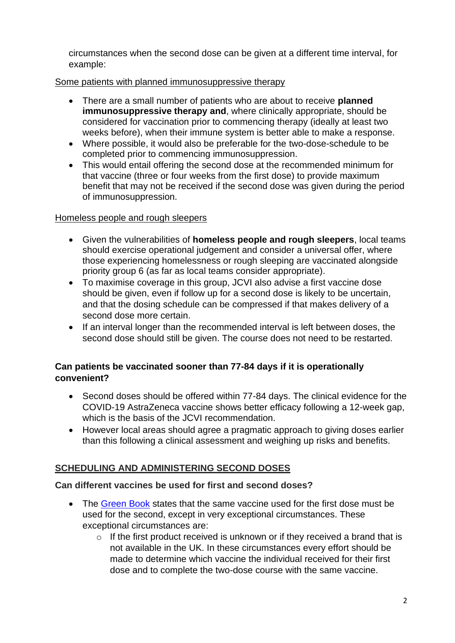circumstances when the second dose can be given at a different time interval, for example:

## Some patients with planned immunosuppressive therapy

- There are a small number of patients who are about to receive **planned immunosuppressive therapy and**, where clinically appropriate, should be considered for vaccination prior to commencing therapy (ideally at least two weeks before), when their immune system is better able to make a response.
- Where possible, it would also be preferable for the two-dose-schedule to be completed prior to commencing immunosuppression.
- This would entail offering the second dose at the recommended minimum for that vaccine (three or four weeks from the first dose) to provide maximum benefit that may not be received if the second dose was given during the period of immunosuppression.

### Homeless people and rough sleepers

- Given the vulnerabilities of **homeless people and rough sleepers**, local teams should exercise operational judgement and consider a universal offer, where those experiencing homelessness or rough sleeping are vaccinated alongside priority group 6 (as far as local teams consider appropriate).
- To maximise coverage in this group, JCVI also advise a first vaccine dose should be given, even if follow up for a second dose is likely to be uncertain, and that the dosing schedule can be compressed if that makes delivery of a second dose more certain.
- If an interval longer than the recommended interval is left between doses, the second dose should still be given. The course does not need to be restarted.

## **Can patients be vaccinated sooner than 77-84 days if it is operationally convenient?**

- Second doses should be offered within 77-84 days. The clinical evidence for the COVID-19 AstraZeneca vaccine shows better efficacy following a 12-week gap, which is the basis of the JCVI recommendation.
- However local areas should agree a pragmatic approach to giving doses earlier than this following a clinical assessment and weighing up risks and benefits.

# **SCHEDULING AND ADMINISTERING SECOND DOSES**

### **Can different vaccines be used for first and second doses?**

- The [Green Book](https://assets.publishing.service.gov.uk/government/uploads/system/uploads/attachment_data/file/961287/Greenbook_chapter_14a_v7_12Feb2021.pdf) states that the same vaccine used for the first dose must be used for the second, except in very exceptional circumstances. These exceptional circumstances are:
	- $\circ$  If the first product received is unknown or if they received a brand that is not available in the UK. In these circumstances every effort should be made to determine which vaccine the individual received for their first dose and to complete the two-dose course with the same vaccine.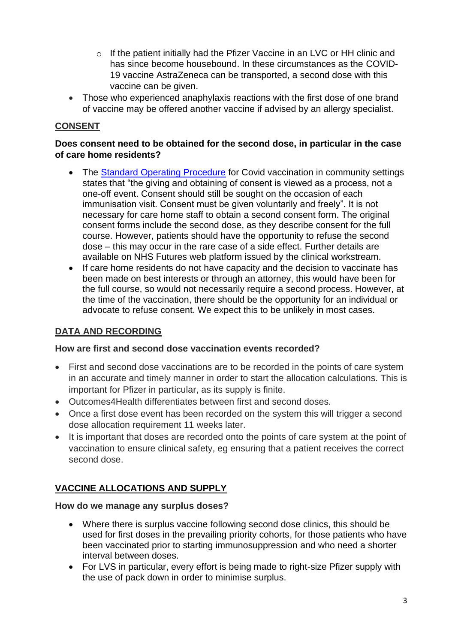- o If the patient initially had the Pfizer Vaccine in an LVC or HH clinic and has since become housebound. In these circumstances as the COVID-19 vaccine AstraZeneca can be transported, a second dose with this vaccine can be given.
- Those who experienced anaphylaxis reactions with the first dose of one brand of vaccine may be offered another vaccine if advised by an allergy specialist.

## **CONSENT**

#### **Does consent need to be obtained for the second dose, in particular in the case of care home residents?**

- The [Standard Operating Procedure](https://www.england.nhs.uk/coronavirus/publication/standard-operating-procedure-covid-19-local-vaccination-services-deployment-in-community-settings/) for Covid vaccination in community settings states that "the giving and obtaining of consent is viewed as a process, not a one-off event. Consent should still be sought on the occasion of each immunisation visit. Consent must be given voluntarily and freely". It is not necessary for care home staff to obtain a second consent form. The original consent forms include the second dose, as they describe consent for the full course. However, patients should have the opportunity to refuse the second dose – this may occur in the rare case of a side effect. Further details are available on NHS Futures web platform issued by the clinical workstream.
- If care home residents do not have capacity and the decision to vaccinate has been made on best interests or through an attorney, this would have been for the full course, so would not necessarily require a second process. However, at the time of the vaccination, there should be the opportunity for an individual or advocate to refuse consent. We expect this to be unlikely in most cases.

# **DATA AND RECORDING**

#### **How are first and second dose vaccination events recorded?**

- First and second dose vaccinations are to be recorded in the points of care system in an accurate and timely manner in order to start the allocation calculations. This is important for Pfizer in particular, as its supply is finite.
- Outcomes4Health differentiates between first and second doses.
- Once a first dose event has been recorded on the system this will trigger a second dose allocation requirement 11 weeks later.
- It is important that doses are recorded onto the points of care system at the point of vaccination to ensure clinical safety, eg ensuring that a patient receives the correct second dose.

# **VACCINE ALLOCATIONS AND SUPPLY**

#### **How do we manage any surplus doses?**

- Where there is surplus vaccine following second dose clinics, this should be used for first doses in the prevailing priority cohorts, for those patients who have been vaccinated prior to starting immunosuppression and who need a shorter interval between doses.
- For LVS in particular, every effort is being made to right-size Pfizer supply with the use of pack down in order to minimise surplus.